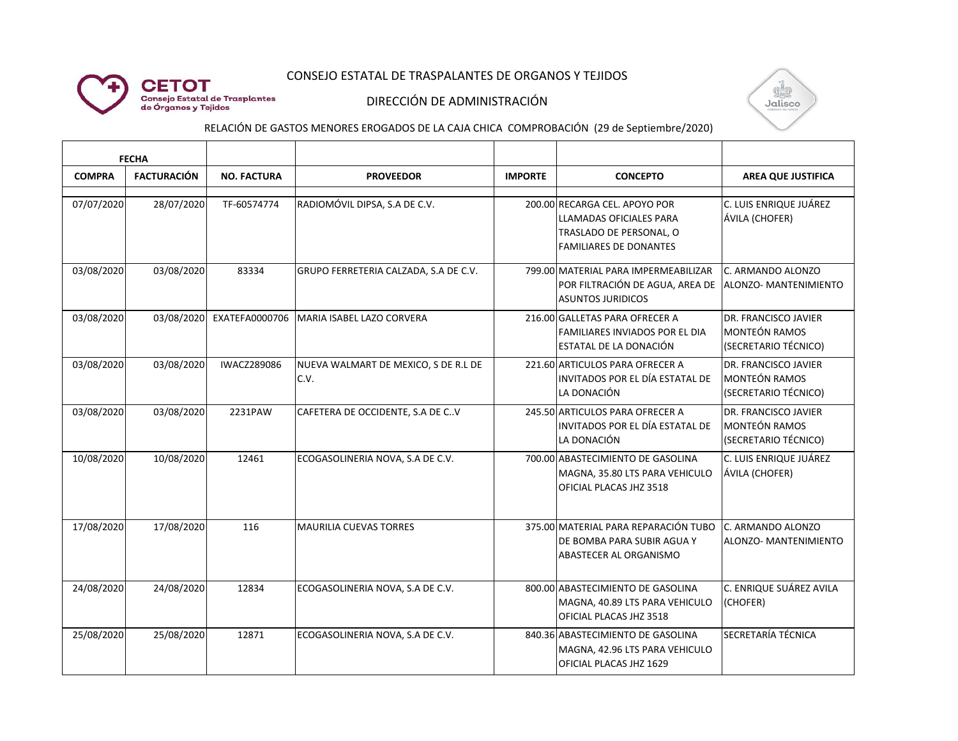

# CONSEJO ESTATAL DE TRASPALANTES DE ORGANOS Y TEJIDOS

### DIRECCIÓN DE ADMINISTRACIÓN



# RELACIÓN DE GASTOS MENORES EROGADOS DE LA CAJA CHICA COMPROBACIÓN (29 de Septiembre/2020)

| <b>FECHA</b>  |                    |                    |                                              |                |                                                                                                                      |                                                                             |
|---------------|--------------------|--------------------|----------------------------------------------|----------------|----------------------------------------------------------------------------------------------------------------------|-----------------------------------------------------------------------------|
| <b>COMPRA</b> | <b>FACTURACIÓN</b> | <b>NO. FACTURA</b> | <b>PROVEEDOR</b>                             | <b>IMPORTE</b> | <b>CONCEPTO</b>                                                                                                      | <b>AREA QUE JUSTIFICA</b>                                                   |
| 07/07/2020    | 28/07/2020         | TF-60574774        | RADIOMÓVIL DIPSA, S.A DE C.V.                |                | 200.00 RECARGA CEL. APOYO POR<br>LLAMADAS OFICIALES PARA<br>TRASLADO DE PERSONAL, O<br><b>FAMILIARES DE DONANTES</b> | C. LUIS ENRIQUE JUÁREZ<br>ÁVILA (CHOFER)                                    |
| 03/08/2020    | 03/08/2020         | 83334              | GRUPO FERRETERIA CALZADA, S.A DE C.V.        |                | 799.00 MATERIAL PARA IMPERMEABILIZAR<br>POR FILTRACIÓN DE AGUA, AREA DE<br><b>ASUNTOS JURIDICOS</b>                  | C. ARMANDO ALONZO<br>ALONZO- MANTENIMIENTO                                  |
| 03/08/2020    | 03/08/2020         | EXATEFA0000706     | MARIA ISABEL LAZO CORVERA                    |                | 216.00 GALLETAS PARA OFRECER A<br><b>FAMILIARES INVIADOS POR EL DIA</b><br>ESTATAL DE LA DONACIÓN                    | DR. FRANCISCO JAVIER<br><b>MONTEÓN RAMOS</b><br>(SECRETARIO TÉCNICO)        |
| 03/08/2020    | 03/08/2020         | <b>IWACZ289086</b> | NUEVA WALMART DE MEXICO, S DE R.L DE<br>C.V. |                | 221.60 ARTICULOS PARA OFRECER A<br>INVITADOS POR EL DÍA ESTATAL DE<br>LA DONACIÓN                                    | DR. FRANCISCO JAVIER<br><b>MONTEÓN RAMOS</b><br>(SECRETARIO TÉCNICO)        |
| 03/08/2020    | 03/08/2020         | 2231PAW            | CAFETERA DE OCCIDENTE, S.A DE C.V            |                | 245.50 ARTICULOS PARA OFRECER A<br>INVITADOS POR EL DÍA ESTATAL DE<br>LA DONACIÓN                                    | <b>DR. FRANCISCO JAVIER</b><br><b>MONTEÓN RAMOS</b><br>(SECRETARIO TÉCNICO) |
| 10/08/2020    | 10/08/2020         | 12461              | ECOGASOLINERIA NOVA, S.A DE C.V.             |                | 700.00 ABASTECIMIENTO DE GASOLINA<br>MAGNA, 35.80 LTS PARA VEHICULO<br>OFICIAL PLACAS JHZ 3518                       | C. LUIS ENRIQUE JUÁREZ<br>ÁVILA (CHOFER)                                    |
| 17/08/2020    | 17/08/2020         | 116                | <b>MAURILIA CUEVAS TORRES</b>                |                | 375.00 MATERIAL PARA REPARACIÓN TUBO<br>DE BOMBA PARA SUBIR AGUA Y<br>ABASTECER AL ORGANISMO                         | C. ARMANDO ALONZO<br>ALONZO- MANTENIMIENTO                                  |
| 24/08/2020    | 24/08/2020         | 12834              | ECOGASOLINERIA NOVA, S.A DE C.V.             |                | 800.00 ABASTECIMIENTO DE GASOLINA<br>MAGNA, 40.89 LTS PARA VEHICULO<br>OFICIAL PLACAS JHZ 3518                       | C. ENRIQUE SUÁREZ AVILA<br>(CHOFER)                                         |
| 25/08/2020    | 25/08/2020         | 12871              | ECOGASOLINERIA NOVA, S.A DE C.V.             |                | 840.36 ABASTECIMIENTO DE GASOLINA<br>MAGNA, 42.96 LTS PARA VEHICULO<br>OFICIAL PLACAS JHZ 1629                       | SECRETARÍA TÉCNICA                                                          |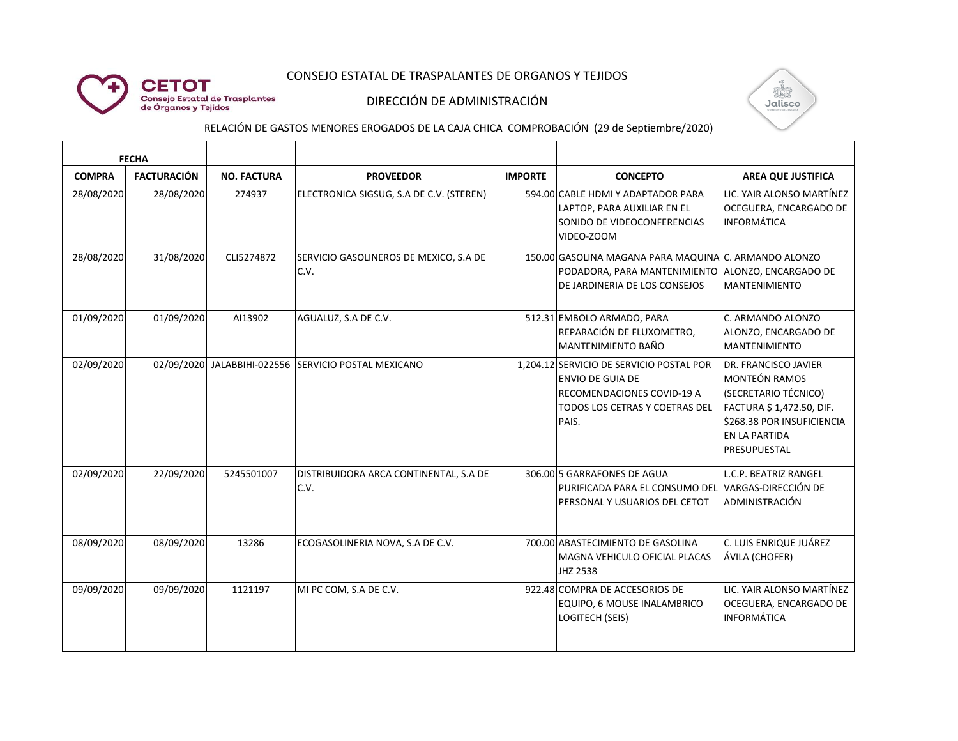

# CONSEJO ESTATAL DE TRASPALANTES DE ORGANOS Y TEJIDOS

### DIRECCIÓN DE ADMINISTRACIÓN



# RELACIÓN DE GASTOS MENORES EROGADOS DE LA CAJA CHICA COMPROBACIÓN (29 de Septiembre/2020)

| <b>FECHA</b>  |                    |                    |                                                      |                |                                                                                                                                                     |                                                                                                                                                                 |
|---------------|--------------------|--------------------|------------------------------------------------------|----------------|-----------------------------------------------------------------------------------------------------------------------------------------------------|-----------------------------------------------------------------------------------------------------------------------------------------------------------------|
| <b>COMPRA</b> | <b>FACTURACIÓN</b> | <b>NO. FACTURA</b> | <b>PROVEEDOR</b>                                     | <b>IMPORTE</b> | <b>CONCEPTO</b>                                                                                                                                     | <b>AREA QUE JUSTIFICA</b>                                                                                                                                       |
| 28/08/2020    | 28/08/2020         | 274937             | ELECTRONICA SIGSUG, S.A DE C.V. (STEREN)             |                | 594.00 CABLE HDMI Y ADAPTADOR PARA<br>LAPTOP, PARA AUXILIAR EN EL<br>SONIDO DE VIDEOCONFERENCIAS<br>VIDEO-ZOOM                                      | LIC. YAIR ALONSO MARTÍNEZ<br>OCEGUERA, ENCARGADO DE<br><b>INFORMÁTICA</b>                                                                                       |
| 28/08/2020    | 31/08/2020         | CLI5274872         | SERVICIO GASOLINEROS DE MEXICO, S.A DE<br>C.V.       |                | 150.00 GASOLINA MAGANA PARA MAQUINA C. ARMANDO ALONZO<br>PODADORA, PARA MANTENIMIENTO ALONZO, ENCARGADO DE<br>DE JARDINERIA DE LOS CONSEJOS         | <b>MANTENIMIENTO</b>                                                                                                                                            |
| 01/09/2020    | 01/09/2020         | AI13902            | AGUALUZ, S.A DE C.V.                                 |                | 512.31 EMBOLO ARMADO, PARA<br>REPARACIÓN DE FLUXOMETRO,<br>MANTENIMIENTO BAÑO                                                                       | C. ARMANDO ALONZO<br>ALONZO, ENCARGADO DE<br><b>MANTENIMIENTO</b>                                                                                               |
| 02/09/2020    |                    |                    | 02/09/2020 JALABBIHI-022556 SERVICIO POSTAL MEXICANO |                | 1.204.12 SERVICIO DE SERVICIO POSTAL POR<br><b>ENVIO DE GUIA DE</b><br><b>RECOMENDACIONES COVID-19 A</b><br>TODOS LOS CETRAS Y COETRAS DEL<br>PAIS. | DR. FRANCISCO JAVIER<br><b>MONTEÓN RAMOS</b><br>(SECRETARIO TÉCNICO)<br>FACTURA \$1,472.50, DIF.<br>\$268.38 POR INSUFICIENCIA<br>EN LA PARTIDA<br>PRESUPUESTAL |
| 02/09/2020    | 22/09/2020         | 5245501007         | DISTRIBUIDORA ARCA CONTINENTAL, S.A DE<br>C.V.       |                | 306.00 5 GARRAFONES DE AGUA<br>PURIFICADA PARA EL CONSUMO DEL VARGAS-DIRECCIÓN DE<br>PERSONAL Y USUARIOS DEL CETOT                                  | L.C.P. BEATRIZ RANGEL<br>ADMINISTRACIÓN                                                                                                                         |
| 08/09/2020    | 08/09/2020         | 13286              | ECOGASOLINERIA NOVA, S.A DE C.V.                     |                | 700.00 ABASTECIMIENTO DE GASOLINA<br>MAGNA VEHICULO OFICIAL PLACAS<br>JHZ 2538                                                                      | C. LUIS ENRIQUE JUÁREZ<br>ÁVILA (CHOFER)                                                                                                                        |
| 09/09/2020    | 09/09/2020         | 1121197            | MI PC COM, S.A DE C.V.                               |                | 922.48 COMPRA DE ACCESORIOS DE<br>EQUIPO, 6 MOUSE INALAMBRICO<br><b>LOGITECH (SEIS)</b>                                                             | LIC. YAIR ALONSO MARTÍNEZ<br>OCEGUERA, ENCARGADO DE<br><b>INFORMÁTICA</b>                                                                                       |